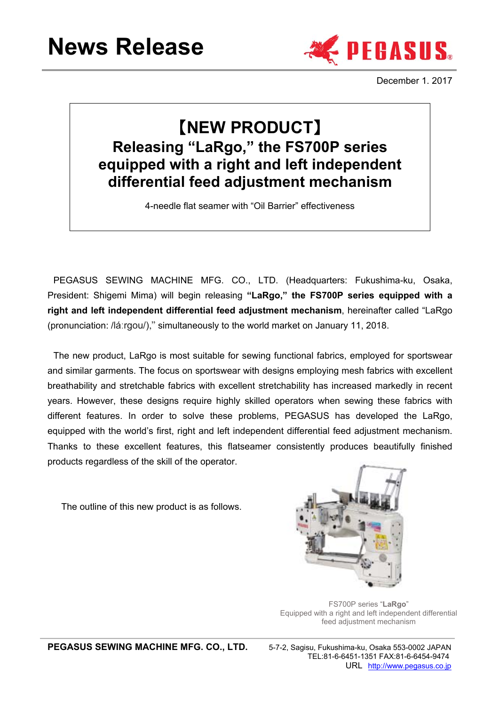

December 1. 2017

# 【**NEW PRODUCT**】 **Releasing "LaRgo," the FS700P series equipped with a right and left independent differential feed adjustment mechanism**

4-needle flat seamer with "Oil Barrier" effectiveness

PEGASUS SEWING MACHINE MFG. CO., LTD. (Headquarters: Fukushima-ku, Osaka, President: Shigemi Mima) will begin releasing **"LaRgo," the FS700P series equipped with a right and left independent differential feed adjustment mechanism**, hereinafter called "LaRgo (pronunciation: /láːrgou/)," simultaneously to the world market on January 11, 2018.

The new product, LaRgo is most suitable for sewing functional fabrics, employed for sportswear and similar garments. The focus on sportswear with designs employing mesh fabrics with excellent breathability and stretchable fabrics with excellent stretchability has increased markedly in recent years. However, these designs require highly skilled operators when sewing these fabrics with different features. In order to solve these problems, PEGASUS has developed the LaRgo, equipped with the world's first, right and left independent differential feed adjustment mechanism. Thanks to these excellent features, this flatseamer consistently produces beautifully finished products regardless of the skill of the operator.

The outline of this new product is as follows.



FS700P series "**LaRgo**" Equipped with a right and left independent differential feed adjustment mechanism

**PEGASUS SEWING MACHINE MFG. CO., LTD.** 5-7-2, Sagisu, Fukushima-ku, Osaka 553-0002 JAPAN

 TEL:81-6-6451-1351 FAX:81-6-6454-9474 URL http://www.pegasus.co.jp